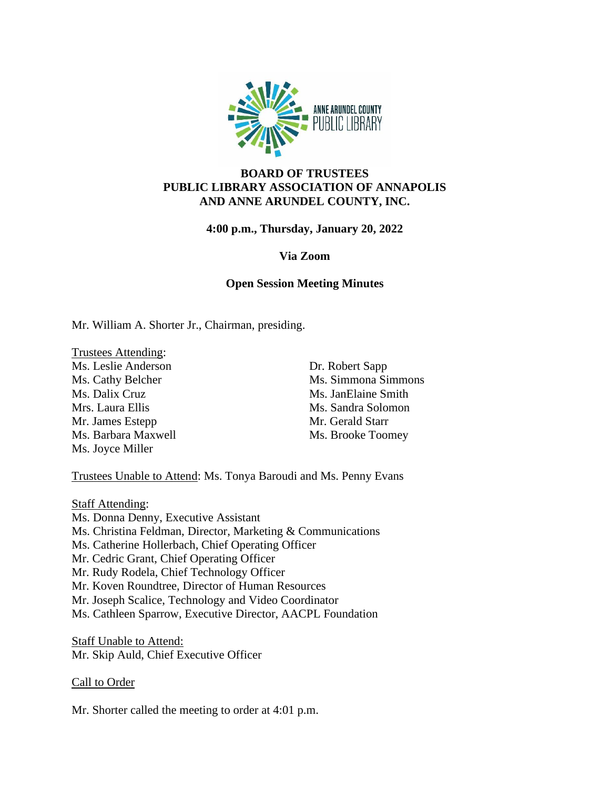

# **BOARD OF TRUSTEES PUBLIC LIBRARY ASSOCIATION OF ANNAPOLIS AND ANNE ARUNDEL COUNTY, INC.**

**4:00 p.m., Thursday, January 20, 2022**

## **Via Zoom**

## **Open Session Meeting Minutes**

Mr. William A. Shorter Jr., Chairman, presiding.

Trustees Attending: Ms. Leslie Anderson Ms. Cathy Belcher Ms. Dalix Cruz Mrs. Laura Ellis Mr. James Estepp Ms. Barbara Maxwell Ms. Joyce Miller

Dr. Robert Sapp Ms. Simmona Simmons Ms. JanElaine Smith Ms. Sandra Solomon Mr. Gerald Starr Ms. Brooke Toomey

Trustees Unable to Attend: Ms. Tonya Baroudi and Ms. Penny Evans

**Staff Attending:** Ms. Donna Denny, Executive Assistant Ms. Christina Feldman, Director, Marketing & Communications Ms. Catherine Hollerbach, Chief Operating Officer Mr. Cedric Grant, Chief Operating Officer Mr. Rudy Rodela, Chief Technology Officer Mr. Koven Roundtree, Director of Human Resources Mr. Joseph Scalice, Technology and Video Coordinator Ms. Cathleen Sparrow, Executive Director, AACPL Foundation

Staff Unable to Attend: Mr. Skip Auld, Chief Executive Officer

# Call to Order

Mr. Shorter called the meeting to order at 4:01 p.m.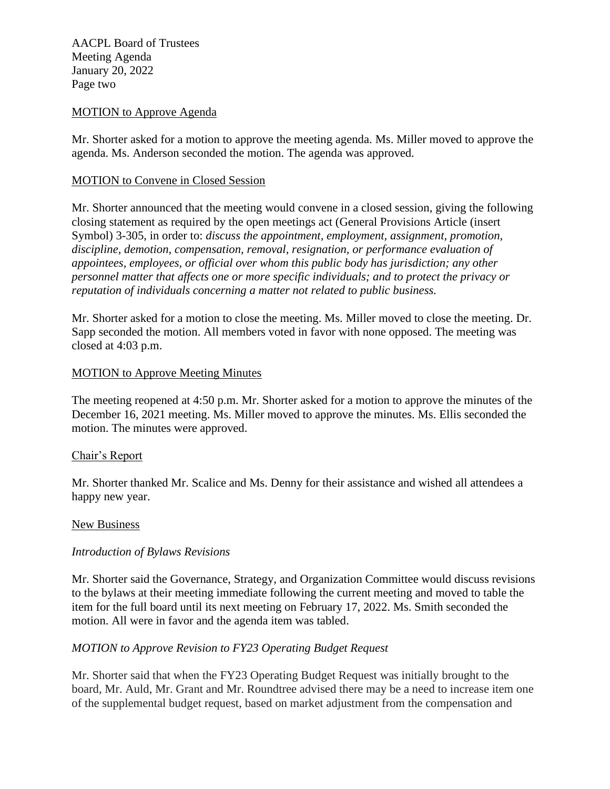AACPL Board of Trustees Meeting Agenda January 20, 2022 Page two

## MOTION to Approve Agenda

Mr. Shorter asked for a motion to approve the meeting agenda. Ms. Miller moved to approve the agenda. Ms. Anderson seconded the motion. The agenda was approved.

### MOTION to Convene in Closed Session

Mr. Shorter announced that the meeting would convene in a closed session, giving the following closing statement as required by the open meetings act (General Provisions Article (insert Symbol) 3-305, in order to: *discuss the appointment, employment, assignment, promotion, discipline, demotion, compensation, removal, resignation, or performance evaluation of appointees, employees, or official over whom this public body has jurisdiction; any other personnel matter that affects one or more specific individuals; and to protect the privacy or reputation of individuals concerning a matter not related to public business.*

Mr. Shorter asked for a motion to close the meeting. Ms. Miller moved to close the meeting. Dr. Sapp seconded the motion. All members voted in favor with none opposed. The meeting was closed at 4:03 p.m.

### MOTION to Approve Meeting Minutes

The meeting reopened at 4:50 p.m. Mr. Shorter asked for a motion to approve the minutes of the December 16, 2021 meeting. Ms. Miller moved to approve the minutes. Ms. Ellis seconded the motion. The minutes were approved.

#### Chair's Report

Mr. Shorter thanked Mr. Scalice and Ms. Denny for their assistance and wished all attendees a happy new year.

#### New Business

#### *Introduction of Bylaws Revisions*

Mr. Shorter said the Governance, Strategy, and Organization Committee would discuss revisions to the bylaws at their meeting immediate following the current meeting and moved to table the item for the full board until its next meeting on February 17, 2022. Ms. Smith seconded the motion. All were in favor and the agenda item was tabled.

## *MOTION to Approve Revision to FY23 Operating Budget Request*

Mr. Shorter said that when the FY23 Operating Budget Request was initially brought to the board, Mr. Auld, Mr. Grant and Mr. Roundtree advised there may be a need to increase item one of the supplemental budget request, based on market adjustment from the compensation and